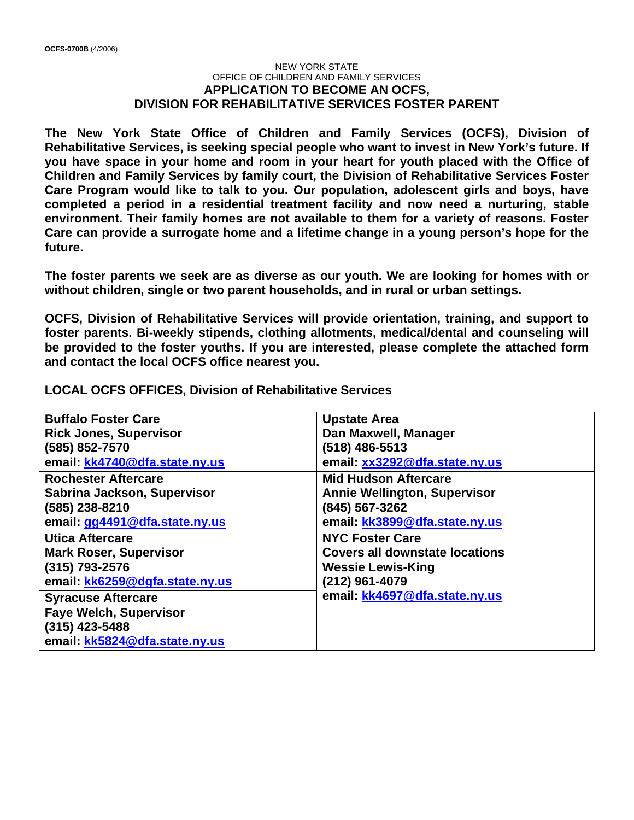## NEW YORK STATE OFFICE OF CHILDREN AND FAMILY SERVICES **APPLICATION TO BECOME AN OCFS, DIVISION FOR REHABILITATIVE SERVICES FOSTER PARENT**

**The New York State Office of Children and Family Services (OCFS), Division of Rehabilitative Services, is seeking special people who want to invest in New York's future. If you have space in your home and room in your heart for youth placed with the Office of Children and Family Services by family court, the Division of Rehabilitative Services Foster Care Program would like to talk to you. Our population, adolescent girls and boys, have completed a period in a residential treatment facility and now need a nurturing, stable environment. Their family homes are not available to them for a variety of reasons. Foster Care can provide a surrogate home and a lifetime change in a young person's hope for the future.** 

**The foster parents we seek are as diverse as our youth. We are looking for homes with or without children, single or two parent households, and in rural or urban settings.** 

**OCFS, Division of Rehabilitative Services will provide orientation, training, and support to foster parents. Bi-weekly stipends, clothing allotments, medical/dental and counseling will be provided to the foster youths. If you are interested, please complete the attached form and contact the local OCFS office nearest you.** 

**LOCAL OCFS OFFICES, Division of Rehabilitative Services** 

| <b>Buffalo Foster Care</b>     | <b>Upstate Area</b>                   |
|--------------------------------|---------------------------------------|
| <b>Rick Jones, Supervisor</b>  | Dan Maxwell, Manager                  |
| (585) 852-7570                 | $(518)$ 486-5513                      |
| email: kk4740@dfa.state.ny.us  | email: xx3292@dfa.state.ny.us         |
| <b>Rochester Aftercare</b>     | <b>Mid Hudson Aftercare</b>           |
| Sabrina Jackson, Supervisor    | <b>Annie Wellington, Supervisor</b>   |
| (585) 238-8210                 | (845) 567-3262                        |
| email: gg4491@dfa.state.ny.us  | email: kk3899@dfa.state.ny.us         |
| <b>Utica Aftercare</b>         | <b>NYC Foster Care</b>                |
| <b>Mark Roser, Supervisor</b>  | <b>Covers all downstate locations</b> |
| $(315)$ 793-2576               | <b>Wessie Lewis-King</b>              |
| email: kk6259@dgfa.state.ny.us | (212) 961-4079                        |
| <b>Syracuse Aftercare</b>      | email: kk4697@dfa.state.ny.us         |
| <b>Faye Welch, Supervisor</b>  |                                       |
| $(315)$ 423-5488               |                                       |
| email: kk5824@dfa.state.ny.us  |                                       |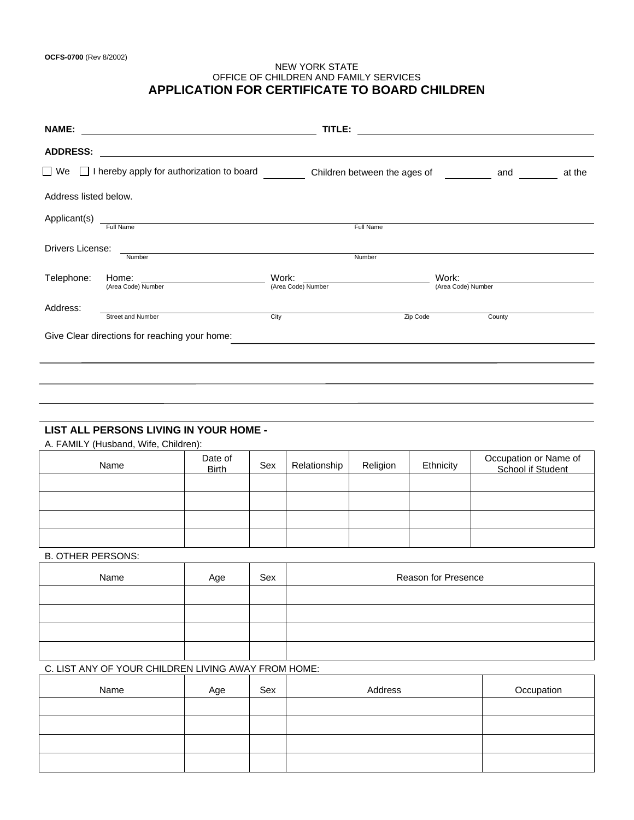### NEW YORK STATE OFFICE OF CHILDREN AND FAMILY SERVICES **APPLICATION FOR CERTIFICATE TO BOARD CHILDREN**

| <b>NAME:</b><br><u> 1989 - Johann Stein, mars an deutscher Stein und der Stein und der Stein und der Stein und der Stein und der</u> | TITLE:                       | <u> 1989 - John Stein, Amerikaansk politiker (</u> |
|--------------------------------------------------------------------------------------------------------------------------------------|------------------------------|----------------------------------------------------|
| <b>ADDRESS:</b>                                                                                                                      |                              |                                                    |
| $\Box$ We $\Box$ I hereby apply for authorization to board                                                                           | Children between the ages of | at the<br>and                                      |
| Address listed below.                                                                                                                |                              |                                                    |
| Applicant(s)<br>Full Name                                                                                                            | Full Name                    |                                                    |
| Drivers License:<br>Number                                                                                                           | Number                       |                                                    |
| Telephone:<br>Home:<br>(Area Code) Number                                                                                            | Work:<br>(Area Code) Number  | Work:<br>(Area Code) Number                        |
| Address:<br>Street and Number                                                                                                        | City<br>Zip Code             | County                                             |
| Give Clear directions for reaching your home:                                                                                        |                              |                                                    |
|                                                                                                                                      |                              |                                                    |
|                                                                                                                                      |                              |                                                    |
|                                                                                                                                      |                              |                                                    |

## **LIST ALL PERSONS LIVING IN YOUR HOME -**

A. FAMILY (Husband, Wife, Children):

| Name | Date of<br><b>Birth</b> | Sex | Relationship | Religion | Ethnicity | Occupation or Name of<br>School if Student |
|------|-------------------------|-----|--------------|----------|-----------|--------------------------------------------|
|      |                         |     |              |          |           |                                            |
|      |                         |     |              |          |           |                                            |
|      |                         |     |              |          |           |                                            |
|      |                         |     |              |          |           |                                            |

### B. OTHER PERSONS:

| Name | Age | Sex | Reason for Presence |
|------|-----|-----|---------------------|
|      |     |     |                     |
|      |     |     |                     |
|      |     |     |                     |
|      |     |     |                     |

# C. LIST ANY OF YOUR CHILDREN LIVING AWAY FROM HOME:

| Name | Age | Sex | Address | Occupation |
|------|-----|-----|---------|------------|
|      |     |     |         |            |
|      |     |     |         |            |
|      |     |     |         |            |
|      |     |     |         |            |